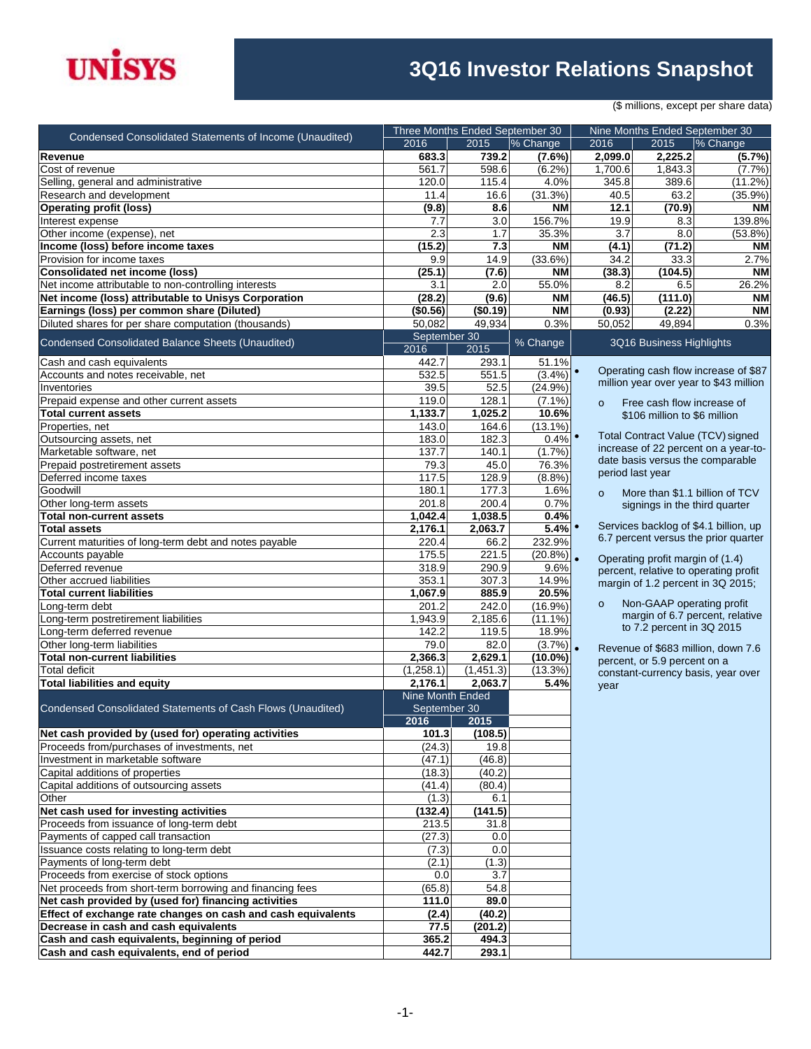

## **3Q16 Investor Relations Snapshot**

(\$ millions, except per share data)

| Condensed Consolidated Statements of Income (Unaudited)      |                         | Three Months Ended September 30 |                   | Nine Months Ended September 30 |                                  |                                        |  |
|--------------------------------------------------------------|-------------------------|---------------------------------|-------------------|--------------------------------|----------------------------------|----------------------------------------|--|
|                                                              | 2016                    | $\overline{2015}$               | % Change          | 2016                           | 2015                             | % Change                               |  |
| Revenue                                                      | 683.3                   | 739.2                           | (7.6%)            | 2,099.0                        | 2,225.2                          | (5.7%)                                 |  |
| Cost of revenue                                              | 561.7                   | 598.6                           | (6.2%)            | 1,700.6                        | 1,843.3                          | (7.7%)                                 |  |
| Selling, general and administrative                          | 120.0                   | 115.4                           | 4.0%              | 345.8                          | 389.6                            | (11.2%)                                |  |
| Research and development                                     | 11.4                    | 16.6                            | (31.3%)           | 40.5                           | 63.2                             | $(35.9\%)$                             |  |
| <b>Operating profit (loss)</b>                               | (9.8)                   | 8.6                             | <b>NM</b>         | 12.1                           | (70.9)                           | <b>NM</b>                              |  |
| Interest expense                                             | 7.7                     | 3.0                             | 156.7%            | 19.9                           | 8.3                              | 139.8%                                 |  |
| Other income (expense), net                                  | 2.3                     | 1.7                             | 35.3%             | 3.7                            | 8.0                              | $(53.8\%)$                             |  |
| Income (loss) before income taxes                            | (15.2)                  | 7.3                             | <b>NM</b>         | (4.1)                          | (71.2)                           | ΝM                                     |  |
| Provision for income taxes                                   | 9.9                     | 14.9                            | (33.6%)           | 34.2                           | 33.3                             | 2.7%                                   |  |
| <b>Consolidated net income (loss)</b>                        | (25.1)                  | (7.6)                           | <b>NM</b>         | (38.3)                         | (104.5)                          | <b>NM</b>                              |  |
| Net income attributable to non-controlling interests         | 3.1                     | 2.0                             | 55.0%             | 8.2                            | 6.5                              | 26.2%                                  |  |
| Net income (loss) attributable to Unisys Corporation         | (28.2)                  | (9.6)                           | <b>NM</b>         | (46.5)                         | (111.0)                          | <b>NM</b>                              |  |
| Earnings (loss) per common share (Diluted)                   | (\$0.56)<br>50,082      | (\$0.19)<br>49,934              | <b>NM</b><br>0.3% | (0.93)<br>50,052               | (2.22)<br>49,894                 | <b>NM</b><br>0.3%                      |  |
| Diluted shares for per share computation (thousands)         | September 30            |                                 |                   |                                |                                  |                                        |  |
| <b>Condensed Consolidated Balance Sheets (Unaudited)</b>     | 2016                    | 2015                            | % Change          |                                | 3Q16 Business Highlights         |                                        |  |
| Cash and cash equivalents                                    | 442.7                   | 293.1                           | 51.1%             |                                |                                  |                                        |  |
| Accounts and notes receivable, net                           | 532.5                   | 551.5                           | $(3.4\%)$         | $\bullet$                      |                                  | Operating cash flow increase of \$87   |  |
| Inventories                                                  | 39.5                    | 52.5                            | $(24.9\%)$        |                                |                                  | million year over year to \$43 million |  |
| Prepaid expense and other current assets                     | 119.0                   | 128.1                           | $(7.1\%)$         | $\circ$                        | Free cash flow increase of       |                                        |  |
| <b>Total current assets</b>                                  | 1,133.7                 | 1,025.2                         | 10.6%             |                                | \$106 million to \$6 million     |                                        |  |
| Properties, net                                              | 143.0                   | 164.6                           | $(13.1\%)$        |                                |                                  |                                        |  |
| Outsourcing assets, net                                      | 183.0                   | 182.3                           | 0.4%              |                                |                                  | Total Contract Value (TCV) signed      |  |
| Marketable software, net                                     | 137.7                   | 140.1                           | (1.7%             |                                |                                  | increase of 22 percent on a year-to-   |  |
| Prepaid postretirement assets                                | 79.3                    | 45.0                            | 76.3%             |                                |                                  | date basis versus the comparable       |  |
| Deferred income taxes                                        | 117.5                   | 128.9                           | (8.8%)            |                                | period last year                 |                                        |  |
| Goodwill                                                     | 180.1                   | 177.3                           | 1.6%              | $\Omega$                       |                                  | More than \$1.1 billion of TCV         |  |
| Other long-term assets                                       | 201.8                   | 200.4                           | 0.7%              |                                | signings in the third quarter    |                                        |  |
| <b>Total non-current assets</b>                              | 1,042.4                 | 1,038.5                         | 0.4%              |                                |                                  |                                        |  |
| <b>Total assets</b>                                          | 2,176.1                 | 2,063.7                         | 5.4%              |                                |                                  | Services backlog of \$4.1 billion, up  |  |
| Current maturities of long-term debt and notes payable       | 220.4                   | 66.2                            | 232.9%            |                                |                                  | 6.7 percent versus the prior quarter   |  |
| Accounts payable                                             | 175.5                   | 221.5                           | $(20.8\%)$        |                                |                                  |                                        |  |
| Deferred revenue                                             | 318.9                   | 290.9                           | 9.6%              |                                | Operating profit margin of (1.4) | percent, relative to operating profit  |  |
| Other accrued liabilities                                    | 353.1                   | 307.3                           | 14.9%             |                                |                                  | margin of 1.2 percent in 3Q 2015;      |  |
| <b>Total current liabilities</b>                             | 1,067.9                 | 885.9                           | 20.5%             |                                |                                  |                                        |  |
| Long-term debt                                               | 201.2                   | 242.0                           | (16.9%)           | $\circ$                        | Non-GAAP operating profit        |                                        |  |
| Long-term postretirement liabilities                         | 1,943.9                 | 2,185.6                         | $(11.1\%)$        |                                |                                  | margin of 6.7 percent, relative        |  |
| Long-term deferred revenue                                   | 142.2                   | 119.5                           | 18.9%             |                                | to 7.2 percent in 3Q 2015        |                                        |  |
| Other long-term liabilities                                  | 79.0                    | 82.0                            | (3.7%)            | $\bullet$                      |                                  | Revenue of \$683 million, down 7.6     |  |
| <b>Total non-current liabilities</b>                         | 2,366.3                 | 2,629.1                         | $(10.0\%)$        |                                | percent, or 5.9 percent on a     |                                        |  |
| <b>Total deficit</b>                                         | (1,258.1)               | (1,451.3)                       | $(13.3\%)$        |                                |                                  | constant-currency basis, year over     |  |
| <b>Total liabilities and equity</b>                          | 2,176.1                 | 2,063.7                         | 5.4%              | year                           |                                  |                                        |  |
|                                                              | <b>Nine Month Ended</b> |                                 |                   |                                |                                  |                                        |  |
| Condensed Consolidated Statements of Cash Flows (Unaudited)  | September 30            |                                 |                   |                                |                                  |                                        |  |
|                                                              | 2016                    | 2015                            |                   |                                |                                  |                                        |  |
| Net cash provided by (used for) operating activities         | 101.3                   | (108.5)                         |                   |                                |                                  |                                        |  |
| Proceeds from/purchases of investments, net                  | (24.3)                  | 19.8                            |                   |                                |                                  |                                        |  |
| Investment in marketable software                            | (47.1)                  | (46.8)                          |                   |                                |                                  |                                        |  |
| Capital additions of properties                              | (18.3)                  | (40.2)                          |                   |                                |                                  |                                        |  |
| Capital additions of outsourcing assets                      | (41.4)                  | (80.4)                          |                   |                                |                                  |                                        |  |
| Other                                                        | (1.3)                   | 6.1                             |                   |                                |                                  |                                        |  |
| Net cash used for investing activities                       | (132.4)                 | (141.5)                         |                   |                                |                                  |                                        |  |
| Proceeds from issuance of long-term debt                     | 213.5                   | 31.8                            |                   |                                |                                  |                                        |  |
| Payments of capped call transaction                          | (27.3)                  | 0.0                             |                   |                                |                                  |                                        |  |
| Issuance costs relating to long-term debt                    | (7.3)                   | 0.0                             |                   |                                |                                  |                                        |  |
| Payments of long-term debt                                   | (2.1)                   | (1.3)                           |                   |                                |                                  |                                        |  |
| Proceeds from exercise of stock options                      | 0.0                     | 3.7                             |                   |                                |                                  |                                        |  |
| Net proceeds from short-term borrowing and financing fees    | (65.8)                  | 54.8                            |                   |                                |                                  |                                        |  |
| Net cash provided by (used for) financing activities         | 111.0                   | 89.0                            |                   |                                |                                  |                                        |  |
| Effect of exchange rate changes on cash and cash equivalents | (2.4)                   | (40.2)                          |                   |                                |                                  |                                        |  |
| Decrease in cash and cash equivalents                        | 77.5                    | (201.2)                         |                   |                                |                                  |                                        |  |
| Cash and cash equivalents, beginning of period               | 365.2                   | 494.3                           |                   |                                |                                  |                                        |  |
| Cash and cash equivalents, end of period                     | 442.7                   | 293.1                           |                   |                                |                                  |                                        |  |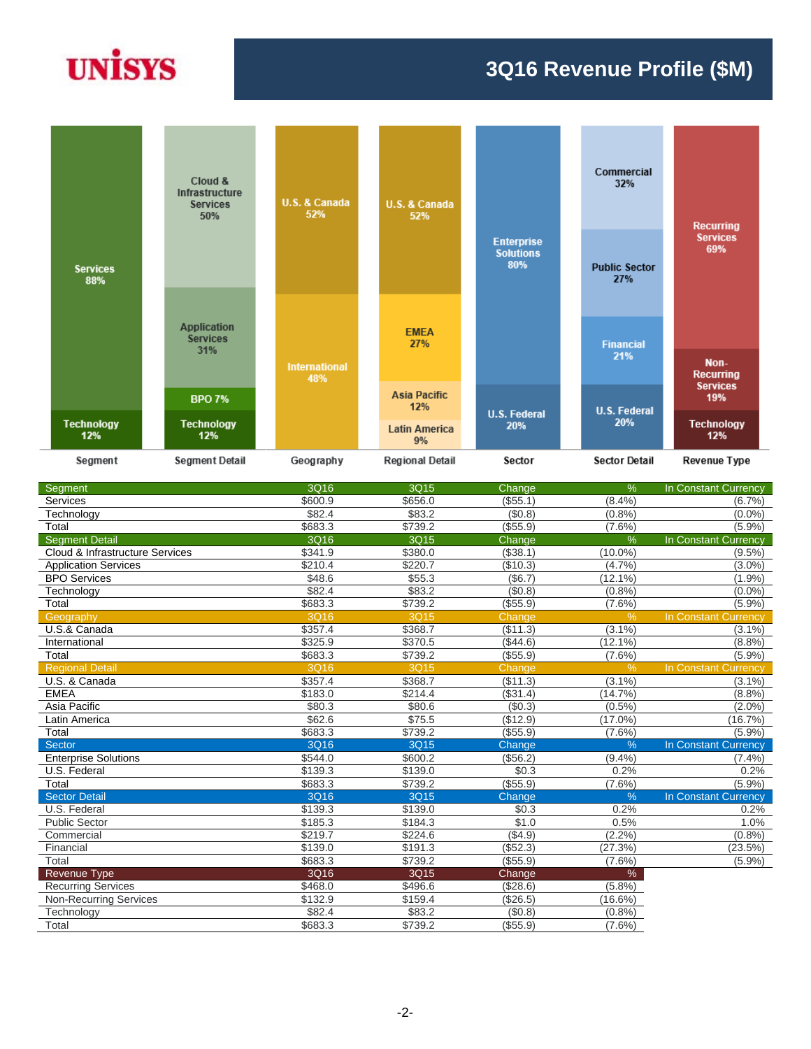# **UNISYS**

#### **3Q16 Revenue Profile (\$M)**



| Segment                         | 3Q16                | 3Q15    | Change   | $\%$          | In Constant Currency |
|---------------------------------|---------------------|---------|----------|---------------|----------------------|
| Services                        | \$600.9             | \$656.0 | (\$55.1) | $(8.4\%)$     | (6.7%)               |
| Technology                      | \$82.4              | \$83.2  | (\$0.8)  | (0.8%         | $(0.0\%)$            |
| Total                           | \$683.3             | \$739.2 | (\$55.9) | $(7.6\%)$     | (5.9%)               |
| <b>Segment Detail</b>           | 3Q16                | 3Q15    | Change   | $\frac{9}{6}$ | In Constant Currency |
| Cloud & Infrastructure Services | \$341.9             | \$380.0 | (\$38.1) | $(10.0\%)$    | $(9.5\%)$            |
| <b>Application Services</b>     | $\overline{$210.4}$ | \$220.7 | (\$10.3) | (4.7%)        | $(3.0\%)$            |
| <b>BPO</b> Services             | \$48.6              | \$55.3  | (\$6.7)  | (12.1%)       | (1.9%                |
| Technology                      | \$82.4              | \$83.2  | (\$0.8)  | (0.8%         | $(0.0\%)$            |
| Total                           | \$683.3             | \$739.2 | (\$55.9) | $(7.6\%)$     | (5.9%)               |
| Geography                       | 3Q16                | 3Q15    | Change   | %             | In Constant Currency |
| U.S.& Canada                    | \$357.4             | \$368.7 | (\$11.3) | (3.1%)        | $(3.1\%)$            |
| International                   | \$325.9             | \$370.5 | (\$44.6) | $(12.1\%)$    | (8.8%)               |
| Total                           | \$683.3             | \$739.2 | (\$55.9) | $(7.6\%)$     | (5.9%)               |
| <b>Regional Detail</b>          | 3Q16                | 3Q15    | Change   | $\frac{9}{6}$ | In Constant Currency |
| U.S. & Canada                   | \$357.4             | \$368.7 | (\$11.3) | $(3.1\%)$     | $(3.1\%)$            |
| <b>EMEA</b>                     | \$183.0             | \$214.4 | (\$31.4) | (14.7%)       | (8.8%)               |
| Asia Pacific                    | $\overline{$80.3}$  | \$80.6  | (\$0.3)  | $(0.5\%)$     | $(2.0\%)$            |
| Latin America                   | \$62.6              | \$75.5  | (\$12.9) | $(17.0\%)$    | (16.7%)              |
| Total                           | \$683.3             | \$739.2 | (\$55.9) | $(7.6\%)$     | (5.9%)               |
| Sector                          | 3Q16                | 3Q15    | Change   | $\frac{9}{6}$ | In Constant Currency |
| <b>Enterprise Solutions</b>     | \$544.0             | \$600.2 | (\$56.2) | (9.4%         | (7.4%                |
| U.S. Federal                    | \$139.3             | \$139.0 | \$0.3    | 0.2%          | 0.2%                 |
| Total                           | \$683.3             | \$739.2 | (\$55.9) | $(7.6\%)$     | (5.9%)               |
| <b>Sector Detail</b>            | 3Q16                | 3Q15    | Change   | $\frac{0}{6}$ | In Constant Currency |
| U.S. Federal                    | \$139.3             | \$139.0 | \$0.3    | 0.2%          | 0.2%                 |
| <b>Public Sector</b>            | \$185.3             | \$184.3 | \$1.0    | 0.5%          | 1.0%                 |
| Commercial                      | \$219.7             | \$224.6 | (\$4.9)  | (2.2%         | (0.8%                |
| Financial                       | \$139.0             | \$191.3 | (\$52.3) | (27.3%)       | (23.5%)              |
| Total                           | \$683.3             | \$739.2 | (\$55.9) | $(7.6\%)$     | (5.9%)               |
| <b>Revenue Type</b>             | 3Q16                | 3Q15    | Change   | %             |                      |
| <b>Recurring Services</b>       | \$468.0             | \$496.6 | (\$28.6) | (5.8%)        |                      |
| <b>Non-Recurring Services</b>   | \$132.9             | \$159.4 | (\$26.5) | $(16.6\%)$    |                      |
| Technology                      | \$82.4              | \$83.2  | (\$0.8)  | (0.8%         |                      |
| Total                           | \$683.3             | \$739.2 | (\$55.9) | $(7.6\%)$     |                      |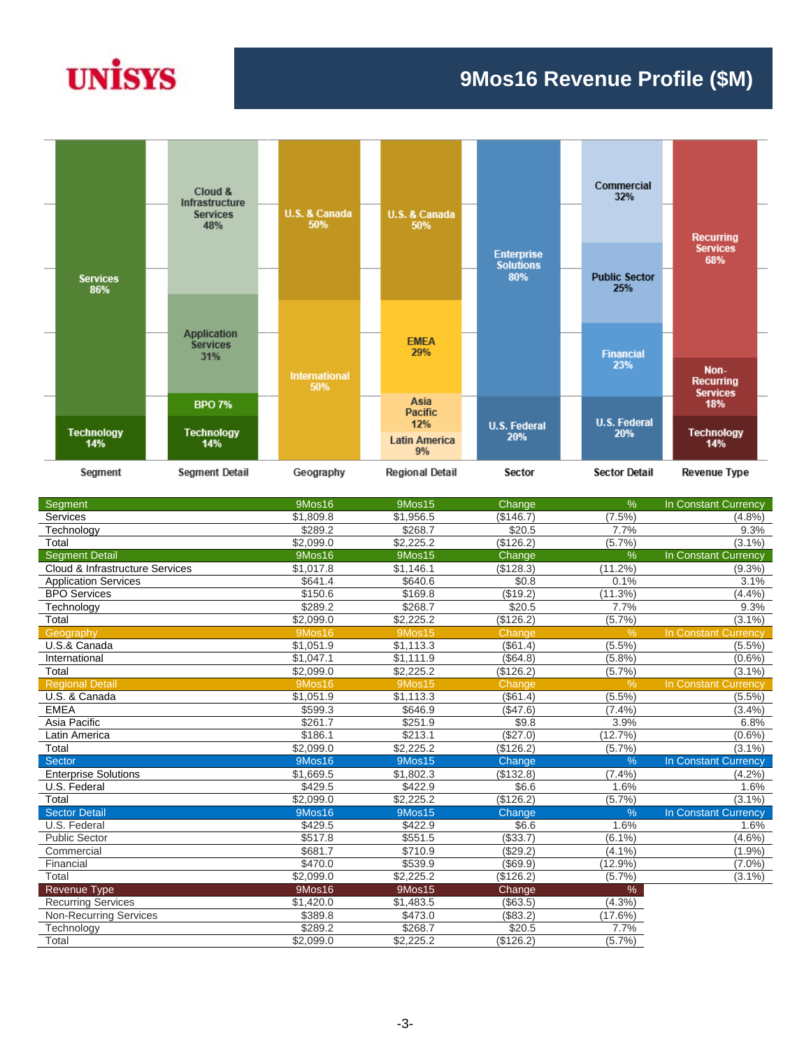# **UNISYS**

## **9Mos16 Revenue Profile (\$M)**



| Segment                         | 9Mos16        | <b>9Mos15</b> | Change    | $\%$          | In Constant Currency        |
|---------------------------------|---------------|---------------|-----------|---------------|-----------------------------|
| Services                        | \$1,809.8     | \$1,956.5     | (\$146.7) | $(7.5\%)$     | $(4.8\%)$                   |
| Technology                      | \$289.2       | \$268.7       | \$20.5    | 7.7%          | 9.3%                        |
| Total                           | \$2,099.0     | \$2,225.2     | (\$126.2) | (5.7%         | $(3.1\%)$                   |
| <b>Segment Detail</b>           | 9Mos16        | 9Mos15        | Change    | $\frac{9}{6}$ | In Constant Currency        |
| Cloud & Infrastructure Services | \$1,017.8     | \$1,146.1     | (\$128.3) | (11.2%        | $(9.3\%)$                   |
| <b>Application Services</b>     | \$641.4       | \$640.6       | \$0.8     | 0.1%          | 3.1%                        |
| <b>BPO</b> Services             | \$150.6       | \$169.8       | (\$19.2)  | $(11.3\%)$    | (4.4%)                      |
| Technology                      | \$289.2       | \$268.7       | \$20.5    | 7.7%          | 9.3%                        |
| Total                           | \$2,099.0     | \$2,225.2     | (\$126.2) | (5.7%)        | $(3.1\%)$                   |
| Geography                       | 9Mos16        | 9Mos15        | Change    | $\frac{9}{6}$ | In Constant Currency        |
| U.S.& Canada                    | \$1,051.9     | \$1,113.3     | (\$61.4)  | (5.5%)        | $(5.5\%)$                   |
| International                   | \$1,047.1     | \$1,111.9     | (\$64.8)  | (5.8%)        | $(0.6\%)$                   |
| Total                           | \$2,099.0     | \$2,225.2     | (\$126.2) | (5.7%)        | $(3.1\%)$                   |
| <b>Regional Detail</b>          | <b>9Mos16</b> | <b>9Mos15</b> | Change    | %             | <b>In Constant Currency</b> |
| U.S. & Canada                   | \$1,051.9     | \$1,113.3     | (\$61.4)  | (5.5%)        | $(5.5\%)$                   |
| <b>EMEA</b>                     | \$599.3       | \$646.9       | (\$47.6)  | (7.4%         | (3.4%)                      |
| Asia Pacific                    | \$261.7       | \$251.9       | \$9.8     | 3.9%          | 6.8%                        |
| Latin America                   | \$186.1       | \$213.1       | (\$27.0)  | (12.7%)       | $(0.6\%)$                   |
| Total                           | \$2,099.0     | \$2,225.2     | (\$126.2) | (5.7%         | $(3.1\%)$                   |
| Sector                          | <b>9Mos16</b> | <b>9Mos15</b> | Change    | $\frac{0}{6}$ | <b>In Constant Currency</b> |
| <b>Enterprise Solutions</b>     | \$1,669.5     | \$1,802.3     | (\$132.8) | (7.4%         | (4.2%)                      |
| U.S. Federal                    | \$429.5       | \$422.9       | \$6.6     | 1.6%          | 1.6%                        |
| Total                           | \$2,099.0     | \$2,225.2     | (\$126.2) | (5.7%)        | $(3.1\%)$                   |
| <b>Sector Detail</b>            | <b>9Mos16</b> | <b>9Mos15</b> | Change    | $\frac{0}{6}$ | In Constant Currency        |
| U.S. Federal                    | \$429.5       | \$422.9       | \$6.6     | 1.6%          | 1.6%                        |
| <b>Public Sector</b>            | \$517.8       | \$551.5       | (\$33.7)  | $(6.1\%)$     | $(4.6\%)$                   |
| Commercial                      | \$681.7       | \$710.9       | (\$29.2)  | (4.1%         | (1.9%                       |
| Financial                       | \$470.0       | \$539.9       | (\$69.9)  | $(12.9\%)$    | $(7.0\%)$                   |
| Total                           | \$2,099.0     | \$2,225.2     | (\$126.2) | (5.7%)        | $(3.1\%)$                   |
| <b>Revenue Type</b>             | 9Mos16        | 9Mos15        | Change    | %             |                             |
| <b>Recurring Services</b>       | \$1,420.0     | \$1,483.5     | (\$63.5)  | (4.3%)        |                             |
| <b>Non-Recurring Services</b>   | \$389.8       | \$473.0       | (\$83.2)  | (17.6%)       |                             |
| Technology                      | \$289.2       | \$268.7       | \$20.5    | 7.7%          |                             |
| Total                           | \$2,099.0     | \$2,225.2     | (\$126.2) | (5.7%)        |                             |